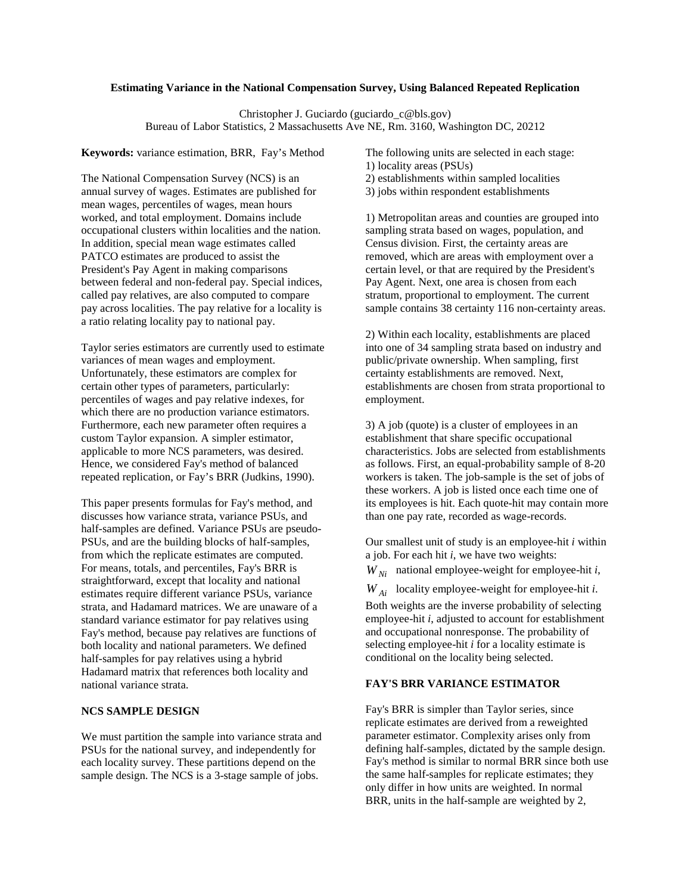### **Estimating Variance in the National Compensation Survey, Using Balanced Repeated Replication**

Christopher J. Guciardo (guciardo\_c@bls.gov) Bureau of Labor Statistics, 2 Massachusetts Ave NE, Rm. 3160, Washington DC, 20212

**Keywords:** variance estimation, BRR, Fay's Method

The National Compensation Survey (NCS) is an annual survey of wages. Estimates are published for mean wages, percentiles of wages, mean hours worked, and total employment. Domains include occupational clusters within localities and the nation. In addition, special mean wage estimates called PATCO estimates are produced to assist the President's Pay Agent in making comparisons between federal and non-federal pay. Special indices, called pay relatives, are also computed to compare pay across localities. The pay relative for a locality is a ratio relating locality pay to national pay.

Taylor series estimators are currently used to estimate variances of mean wages and employment. Unfortunately, these estimators are complex for certain other types of parameters, particularly: percentiles of wages and pay relative indexes, for which there are no production variance estimators. Furthermore, each new parameter often requires a custom Taylor expansion. A simpler estimator, applicable to more NCS parameters, was desired. Hence, we considered Fay's method of balanced repeated replication, or Fay's BRR (Judkins, 1990).

This paper presents formulas for Fay's method, and discusses how variance strata, variance PSUs, and half-samples are defined. Variance PSUs are pseudo-PSUs, and are the building blocks of half-samples, from which the replicate estimates are computed. For means, totals, and percentiles, Fay's BRR is straightforward, except that locality and national estimates require different variance PSUs, variance strata, and Hadamard matrices. We are unaware of a standard variance estimator for pay relatives using Fay's method, because pay relatives are functions of both locality and national parameters. We defined half-samples for pay relatives using a hybrid Hadamard matrix that references both locality and national variance strata.

# **NCS SAMPLE DESIGN**

We must partition the sample into variance strata and PSUs for the national survey, and independently for each locality survey. These partitions depend on the sample design. The NCS is a 3-stage sample of jobs.

The following units are selected in each stage: 1) locality areas (PSUs) 2) establishments within sampled localities 3) jobs within respondent establishments

1) Metropolitan areas and counties are grouped into sampling strata based on wages, population, and Census division. First, the certainty areas are removed, which are areas with employment over a certain level, or that are required by the President's Pay Agent. Next, one area is chosen from each stratum, proportional to employment. The current sample contains 38 certainty 116 non-certainty areas.

2) Within each locality, establishments are placed into one of 34 sampling strata based on industry and public/private ownership. When sampling, first certainty establishments are removed. Next, establishments are chosen from strata proportional to employment.

3) A job (quote) is a cluster of employees in an establishment that share specific occupational characteristics. Jobs are selected from establishments as follows. First, an equal-probability sample of 8-20 workers is taken. The job-sample is the set of jobs of these workers. A job is listed once each time one of its employees is hit. Each quote-hit may contain more than one pay rate, recorded as wage-records.

Our smallest unit of study is an employee-hit *i* within a job. For each hit *i*, we have two weights:

 $W_{Ni}$  national employee-weight for employee-hit *i*,

*W Ai* locality employee-weight for employee-hit *i*.

Both weights are the inverse probability of selecting employee-hit *i*, adjusted to account for establishment and occupational nonresponse. The probability of selecting employee-hit *i* for a locality estimate is conditional on the locality being selected.

# **FAY'S BRR VARIANCE ESTIMATOR**

Fay's BRR is simpler than Taylor series, since replicate estimates are derived from a reweighted parameter estimator. Complexity arises only from defining half-samples, dictated by the sample design. Fay's method is similar to normal BRR since both use the same half-samples for replicate estimates; they only differ in how units are weighted. In normal BRR, units in the half-sample are weighted by 2,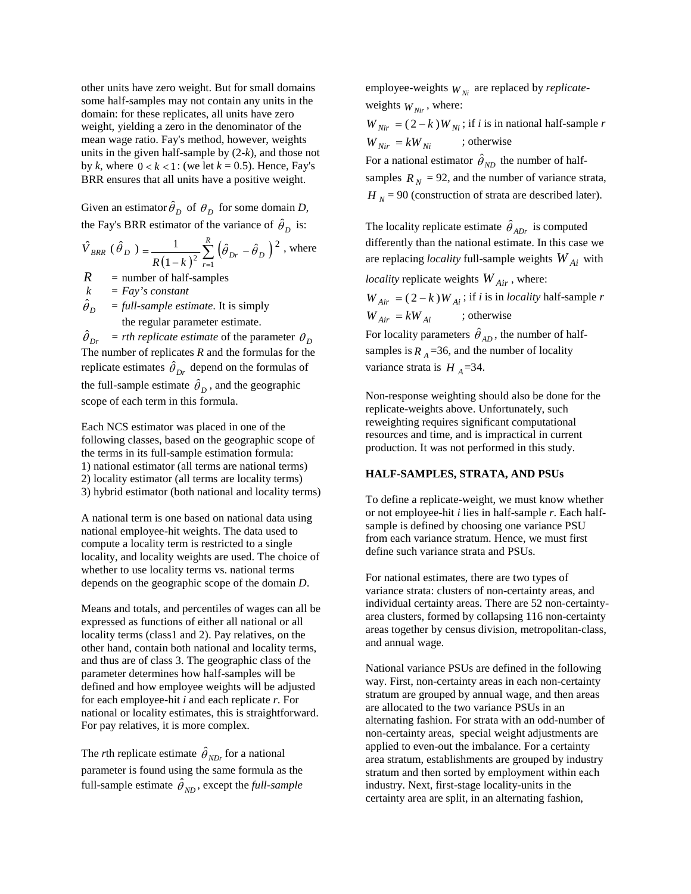other units have zero weight. But for small domains some half-samples may not contain any units in the domain: for these replicates, all units have zero weight, yielding a zero in the denominator of the mean wage ratio. Fay's method, however, weights units in the given half-sample by (2-*k*), and those not by *k*, where  $0 < k < 1$ : (we let  $k = 0.5$ ). Hence, Fay's BRR ensures that all units have a positive weight.

Given an estimator  $\hat{\theta}_D$  of  $\theta_D$  for some domain *D*, the Fay's BRR estimator of the variance of  $\hat{\theta}_D$  is:

$$
\hat{V}_{BRR} (\hat{\theta}_D) = \frac{1}{R(1-k)^2} \sum_{r=1}^{R} (\hat{\theta}_{Dr} - \hat{\theta}_D)^2
$$
, where

 $R$  = number of half-samples<br> $k$  =  $Fav's constant$ 

 $= Fay's constant$ 

 $\hat{\theta}_D$ ˆ = *full-sample estimate*. It is simply the regular parameter estimate.

 $\hat{\theta}_{Dr}$  = *rth replicate estimate* of the parameter  $\theta_D$ The number of replicates *R* and the formulas for the replicate estimates  $\hat{\theta}_{Dr}$  depend on the formulas of the full-sample estimate  $\hat{\theta}_D$ , and the geographic scope of each term in this formula.

Each NCS estimator was placed in one of the following classes, based on the geographic scope of the terms in its full-sample estimation formula: 1) national estimator (all terms are national terms) 2) locality estimator (all terms are locality terms) 3) hybrid estimator (both national and locality terms)

A national term is one based on national data using national employee-hit weights. The data used to compute a locality term is restricted to a single locality, and locality weights are used. The choice of whether to use locality terms vs. national terms depends on the geographic scope of the domain *D*.

Means and totals, and percentiles of wages can all be expressed as functions of either all national or all locality terms (class1 and 2). Pay relatives, on the other hand, contain both national and locality terms, and thus are of class 3. The geographic class of the parameter determines how half-samples will be defined and how employee weights will be adjusted for each employee-hit *i* and each replicate *r*. For national or locality estimates, this is straightforward. For pay relatives, it is more complex.

The *r*th replicate estimate  $\hat{\theta}_{NDr}$  for a national parameter is found using the same formula as the full-sample estimate  $\hat{\theta}_{ND}$ , except the *full-sample*  employee-weights  $W_{Ni}$  are replaced by *replicate*weights  $W_{Nir}$ , where:

 $W_{Nir} = (2 - k)W_{Ni}$ ; if *i* is in national half-sample *r*  $W_{Nir} = kW_{Ni}$  ; otherwise

For a national estimator  $\hat{\theta}_{ND}$  the number of halfsamples  $R_N = 92$ , and the number of variance strata,  $H<sub>N</sub>$  = 90 (construction of strata are described later).

The locality replicate estimate  $\hat{\theta}_{ADr}$  is computed differently than the national estimate. In this case we are replacing *locality* full-sample weights *W Ai* with

*locality* replicate weights *W Air* , where:

 $W_{Air} = (2 - k)W_{Ai}$ ; if *i* is in *locality* half-sample *r*  $W_{Air} = kW_{Ai}$  ; otherwise For locality parameters  $\hat{\theta}_{AD}$ , the number of half-

samples is  $R_A$  =36, and the number of locality variance strata is  $H_A = 34$ .

Non-response weighting should also be done for the replicate-weights above. Unfortunately, such reweighting requires significant computational resources and time, and is impractical in current production. It was not performed in this study.

### **HALF-SAMPLES, STRATA, AND PSUs**

To define a replicate-weight, we must know whether or not employee-hit *i* lies in half-sample *r*. Each halfsample is defined by choosing one variance PSU from each variance stratum. Hence, we must first define such variance strata and PSUs.

For national estimates, there are two types of variance strata: clusters of non-certainty areas, and individual certainty areas. There are 52 non-certaintyarea clusters, formed by collapsing 116 non-certainty areas together by census division, metropolitan-class, and annual wage.

National variance PSUs are defined in the following way. First, non-certainty areas in each non-certainty stratum are grouped by annual wage, and then areas are allocated to the two variance PSUs in an alternating fashion. For strata with an odd-number of non-certainty areas, special weight adjustments are applied to even-out the imbalance. For a certainty area stratum, establishments are grouped by industry stratum and then sorted by employment within each industry. Next, first-stage locality-units in the certainty area are split, in an alternating fashion,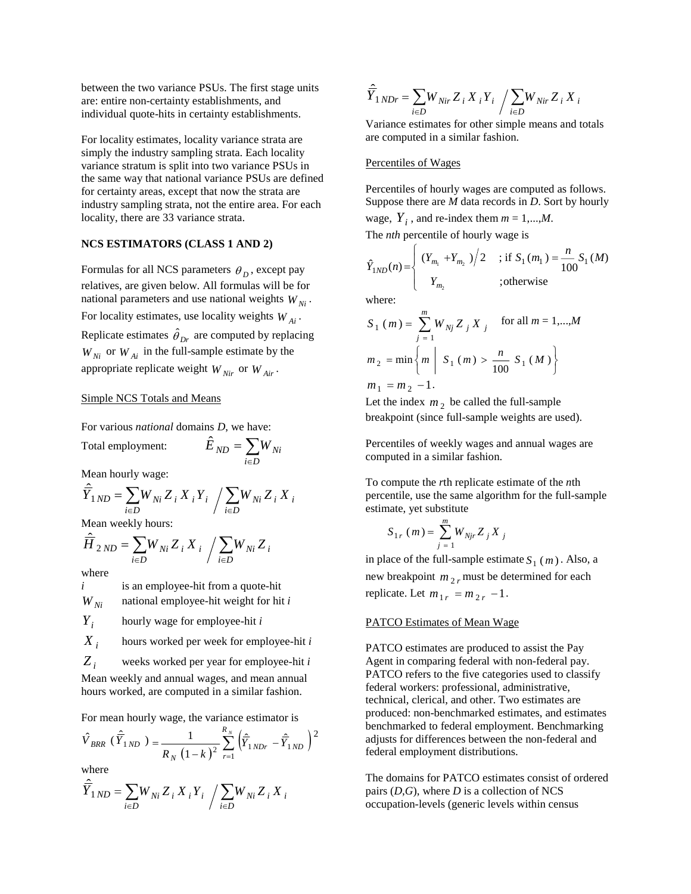between the two variance PSUs. The first stage units are: entire non-certainty establishments, and individual quote-hits in certainty establishments.

For locality estimates, locality variance strata are simply the industry sampling strata. Each locality variance stratum is split into two variance PSUs in the same way that national variance PSUs are defined for certainty areas, except that now the strata are industry sampling strata, not the entire area. For each locality, there are 33 variance strata.

### **NCS ESTIMATORS (CLASS 1 AND 2)**

Formulas for all NCS parameters  $\theta_D$ , except pay relatives, are given below. All formulas will be for national parameters and use national weights  $W_{Ni}$ . For locality estimates, use locality weights  $W_{Ai}$ . Replicate estimates  $\hat{\theta}_{Dr}$  are computed by replacing  $W_{Ni}$  or  $W_{Ai}$  in the full-sample estimate by the appropriate replicate weight  $W_{Nir}$  or  $W_{Air}$ .

#### Simple NCS Totals and Means

For various *national* domains *D*, we have:

Total employment:  $\hat{E}_{ND} = \sum_{i \in D}$ 

Mean hourly wage:

$$
\hat{\overline{Y}}_{1\,ND} = \sum_{i\in D} W_{Ni} Z_i X_i Y_i / \sum_{i\in D} W_{Ni} Z_i X_i
$$

 $=$ 

 $i \in D$ 

 $W_{Ni}$ 

Mean weekly hours:

$$
\hat{\overline{H}}_{2\,ND}=\sum_{i\in D}W_{Ni}\,Z_{i}\,X_{i}\,\bigg/\sum_{i\in D}W_{Ni}\,Z_{i}
$$

where

*i* is an employee-hit from a quote-hit

 $W_{Ni}$  national employee-hit weight for hit *i* 

*Yi* hourly wage for employee-hit *<sup>i</sup>*

 $X_i$  hours worked per week for employee-hit *i* 

*Z <sup>i</sup>* weeks worked per year for employee-hit*<sup>i</sup>*

Mean weekly and annual wages, and mean annual hours worked, are computed in a similar fashion.

For mean hourly wage, the variance estimator is

$$
\hat{V}_{BRR} (\hat{Y}_{1ND}) = \frac{1}{R_N (1-k)^2} \sum_{r=1}^{R_N} (\hat{Y}_{1NDr} - \hat{Y}_{1ND})^2
$$

where

$$
\hat{\overline{Y}}_{1 \, ND} = \sum_{i \in D} W_{N i} \, Z_i \, X_i \, Y_i \, / \sum_{i \in D} W_{N i} \, Z_i \, X_i
$$

$$
\hat{\overline{Y}}_{1 \, NDr} = \sum_{i \in D} W_{Nir} \, Z_i \, X_i \, Y_i \, / \sum_{i \in D} W_{Nir} \, Z_i \, X_i
$$

Variance estimates for other simple means and totals are computed in a similar fashion.

#### Percentiles of Wages

Percentiles of hourly wages are computed as follows. Suppose there are *M* data records in *D*. Sort by hourly wage,  $Y_i$ , and re-index them  $m = 1,...,M$ .

The *nth* percentile of hourly wage is

$$
\hat{Y}_{1ND}(n) = \begin{cases}\n(Y_{m_1} + Y_{m_2})/2 & ; \text{if } S_1(m_1) = \frac{n}{100} S_1(M) \\
Y_{m_2} & ; \text{otherwise}\n\end{cases}
$$

where:

$$
S_1 (m) = \sum_{j=1}^{m} W_{Nj} Z_j X_j \quad \text{for all } m = 1,...,M
$$
  

$$
m_2 = \min \left\{ m \middle| S_1 (m) > \frac{n}{100} S_1 (M) \right\}
$$
  

$$
m_1 = m_2 - 1.
$$

Let the index  $m_2$  be called the full-sample breakpoint (since full-sample weights are used).

Percentiles of weekly wages and annual wages are computed in a similar fashion.

To compute the *r*th replicate estimate of the *n*th percentile, use the same algorithm for the full-sample estimate, yet substitute

$$
S_{1r} (m) = \sum_{j=1}^{m} W_{Njr} Z_j X_j
$$

in place of the full-sample estimate  $S_1(m)$ . Also, a new breakpoint  $m_2$ , must be determined for each replicate. Let  $m_{1r} = m_{2r} - 1$ .

#### PATCO Estimates of Mean Wage

PATCO estimates are produced to assist the Pay Agent in comparing federal with non-federal pay. PATCO refers to the five categories used to classify federal workers: professional, administrative, technical, clerical, and other. Two estimates are produced: non-benchmarked estimates, and estimates benchmarked to federal employment. Benchmarking adjusts for differences between the non-federal and federal employment distributions.

The domains for PATCO estimates consist of ordered pairs (*D*,*G*), where *D* is a collection of NCS occupation-levels (generic levels within census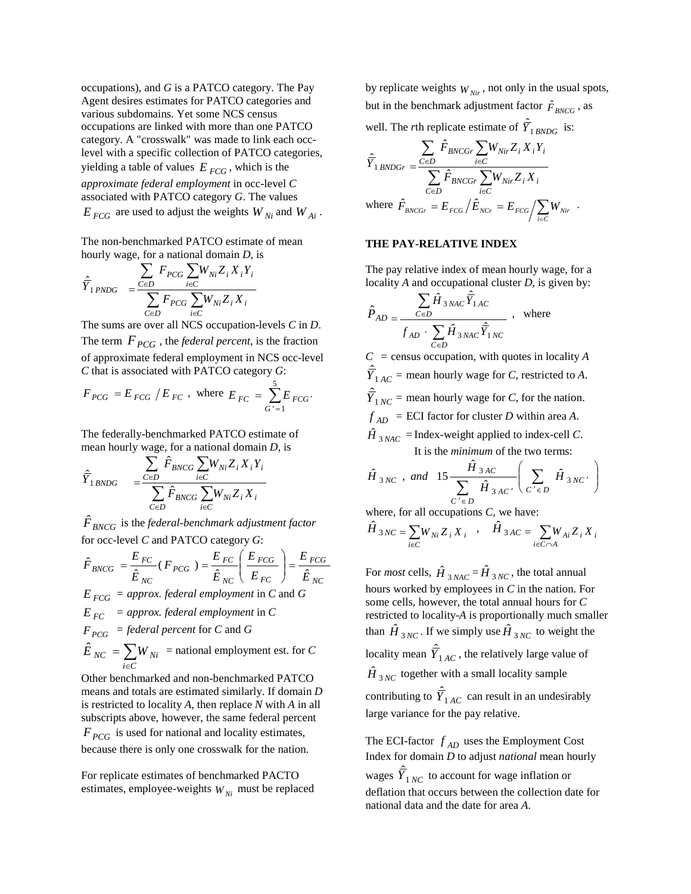occupations), and *G* is a PATCO category. The Pay Agent desires estimates for PATCO categories and various subdomains. Yet some NCS census occupations are linked with more than one PATCO category. A "crosswalk" was made to link each occlevel with a specific collection of PATCO categories, yielding a table of values  $E_{FGG}$ , which is the *approximate federal employment* in occ-level *C* associated with PATCO category *G*. The values  $E_{FGG}$  are used to adjust the weights  $W_{Ni}$  and  $W_{Ai}$ .

The non-benchmarked PATCO estimate of mean hourly wage, for a national domain *D*, is

$$
\hat{\overline{Y}}_{1\,PNDG} \quad = \dfrac{\displaystyle\sum_{C\in D} F_{PCG} \sum_{i\in C} W_{Ni} Z_i\,X_iY_i}{\displaystyle\sum_{C\in D} F_{PCG} \sum_{i\in C} W_{Ni}Z_i\,X_i}
$$

The sums are over all NCS occupation-levels *C* in *D*. The term  $F_{PCG}$ , the *federal percent*, is the fraction of approximate federal employment in NCS occ-level *C* that is associated with PATCO category *G*:

$$
F_{PCG} = E_{FCG} / E_{FC}
$$
, where  $E_{FC} = \sum_{G'=1}^{5} E_{FCG'}$ 

The federally-benchmarked PATCO estimate of mean hourly wage, for a national domain *D*, is

$$
\hat{\overline{Y}}_{1\,B N D G} \quad = \underbrace{\sum\limits_{C \in D}\hat{F}_{B N C G} \sum\limits_{i \in C} W_{N i} Z_i \, X_i \, Y_i}_{C \in D} \\ \sum\limits_{i \in C} \hat{F}_{B N C G} \sum\limits_{i \in C} W_{N i} Z_i \, X_i
$$

 $\hat{{F}}_{BNCG}$  is the *federal-benchmark adjustment factor* for occ-level *C* and PATCO category *G*:

$$
\hat{F}_{BNCG} = \frac{E_{FC}}{\hat{E}_{NC}} (F_{PCG}) = \frac{E_{FC}}{\hat{E}_{NC}} \left( \frac{E_{FCG}}{E_{FC}} \right) = \frac{E_{FCG}}{\hat{E}_{NC}}
$$
\n
$$
E_{FCG} = \text{approx. federal employment in C and G}
$$
\n
$$
E_{FC} = \text{approx. federal employment in C}
$$
\n
$$
F_{PCG} = \text{federal percent for C and G}
$$
\n
$$
\hat{E}_{NC} = \sum_{i \in C} W_{Ni} = \text{national employment est. for C}
$$

Other benchmarked and non-benchmarked PATCO means and totals are estimated similarly. If domain *D* is restricted to locality *A*, then replace *N* with *A* in all subscripts above, however, the same federal percent  $F_{PCG}$  is used for national and locality estimates, because there is only one crosswalk for the nation.

For replicate estimates of benchmarked PACTO estimates, employee-weights  $W_{Ni}$  must be replaced

by replicate weights  $W_{\text{Nir}}$ , not only in the usual spots, but in the benchmark adjustment factor  $\hat{F}_{BNCG}$ , as well. The *r*th replicate estimate of  $\hat{Y}_{1, BNDG}$  is:

$$
\label{eq:1} \begin{aligned} \hat{\bar{Y}}_{1\,BNDGr}=&\frac{\sum\limits_{C\in D}\hat{F}_{BNCGr}\sum\limits_{i\in C}W_{Nir}Z_i\,X_iY_i}{\sum\limits_{C\in D}\hat{F}_{BNCGr}\sum\limits_{i\in C}W_{Nir}Z_i\,X_i}\\ \text{where}\enspace \hat{F}_{BNCGr}&=E_{FCG}\Big/\hat{E}_{NCr}=E_{FCG}\Big/\sum\limits_{i\in C}W_{Nir}\enspace. \end{aligned}
$$

#### **THE PAY-RELATIVE INDEX**

The pay relative index of mean hourly wage, for a locality *A* and occupational cluster *D*, is given by:

$$
\hat{P}_{AD} = \frac{\sum_{C \in D} \hat{H}_{3 NAC} \hat{Y}_{1AC}}{f_{AD} \cdot \sum_{C \in D} \hat{H}_{3 NAC} \hat{Y}_{1NC}}
$$
, where

 $C =$  census occupation, with quotes in locality *A*  $\hat{Y}_{1AC}$  = mean hourly wage for *C*, restricted to *A*.  $\hat{Y}_{1,NC}$  = mean hourly wage for *C*, for the nation.  $f_{AD}$  = ECI factor for cluster *D* within area *A*.  $\hat{H}_{3, NAC}$  = Index-weight applied to index-cell *C*. It is the *minimum* of the two terms:

$$
\hat{H}_{3NC}
$$
, and  $15 \frac{\hat{H}_{3AC}}{\sum_{C' \in D} \hat{H}_{3AC'}} \left( \sum_{C' \in D} \hat{H}_{3NC'} \right)$ 

where, for all occupations *C*, we have:

$$
\hat{H}_{3NC} = \sum_{i \in C} W_{Ni} Z_i X_i \quad , \quad \hat{H}_{3AC} = \sum_{i \in C \cap A} W_{Ai} Z_i X_i
$$

For *most* cells,  $\hat{H}_{3NAC} = \hat{H}_{3NC}$ , the total annual hours worked by employees in *C* in the nation. For some cells, however, the total annual hours for *C* restricted to locality-*A* is proportionally much smaller than  $\hat{H}_{3NC}$ . If we simply use  $\hat{H}_{3NC}$  to weight the locality mean  $\hat{\overline{Y}}_{1AC}$ , the relatively large value of  $\hat{H}$ <sub>3</sub> $_{NC}$  together with a small locality sample contributing to  $\hat{Y}_{1AC}$  can result in an undesirably large variance for the pay relative.

The ECI-factor  $f_{AD}$  uses the Employment Cost Index for domain *D* to adjust *national* mean hourly wages  $\hat{Y}_{1NC}$  to account for wage inflation or deflation that occurs between the collection date for national data and the date for area *A*.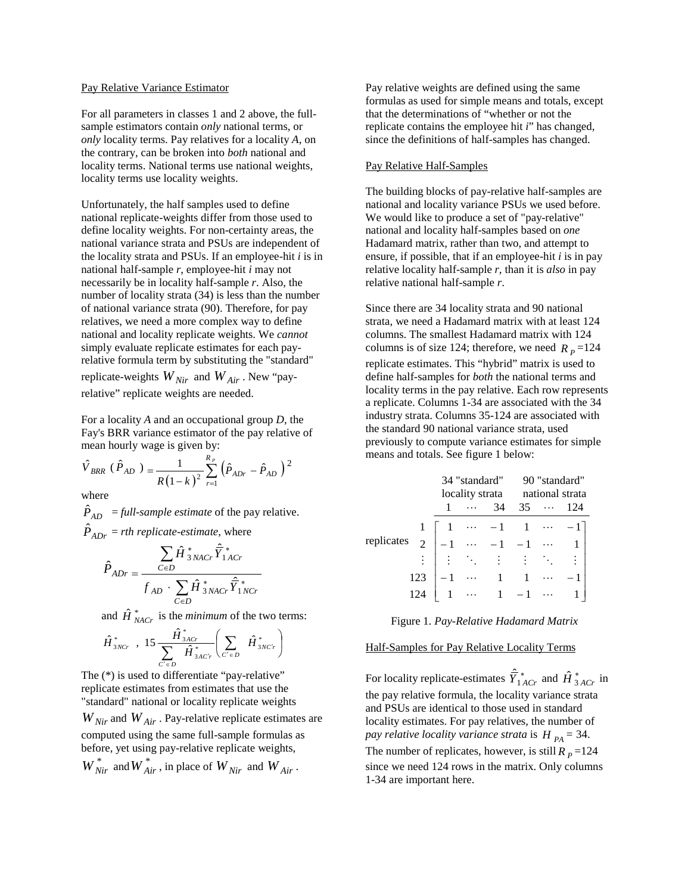#### Pay Relative Variance Estimator

For all parameters in classes 1 and 2 above, the fullsample estimators contain *only* national terms, or *only* locality terms. Pay relatives for a locality *A*, on the contrary, can be broken into *both* national and locality terms. National terms use national weights, locality terms use locality weights.

Unfortunately, the half samples used to define national replicate-weights differ from those used to define locality weights. For non-certainty areas, the national variance strata and PSUs are independent of the locality strata and PSUs. If an employee-hit *i* is in national half-sample *r*, employee-hit *i* may not necessarily be in locality half-sample *r*. Also, the number of locality strata (34) is less than the number of national variance strata (90). Therefore, for pay relatives, we need a more complex way to define national and locality replicate weights. We *cannot* simply evaluate replicate estimates for each payrelative formula term by substituting the "standard" replicate-weights  $W_{Nir}$  and  $W_{Air}$ . New "payrelative" replicate weights are needed.

For a locality *A* and an occupational group *D*, the Fay's BRR variance estimator of the pay relative of mean hourly wage is given by:

$$
\hat{V}_{BRR} (\hat{P}_{AD}) = \frac{1}{R(1-k)^2} \sum_{r=1}^{R_p} (\hat{P}_{ADr} - \hat{P}_{AD})^2
$$

where

 $\hat{P}_{AD}$  = *full-sample estimate* of the pay relative.  $\hat{P}_{ADr}$  = *rth replicate-estimate*, where

$$
\hat{P}_{ADr} = \frac{\sum_{C \in D} \hat{H}^*_{3NACr} \hat{\overline{Y}}^*_{1ACr}}{f_{AD} \cdot \sum_{C \in D} \hat{H}^*_{3NACr} \hat{\overline{Y}}^*_{1NCr}}
$$

and  $\hat{H}^*_{NACr}$  is the *minimum* of the two terms:

$$
\hat{H}_{3NCr}^* \; , \; 15 \frac{\hat{H}_{3ACr}^*}{\sum_{C' \in D} \hat{H}_{3ACr}^*} \left( \sum_{C' \in D} \hat{H}_{3NC'r}^* \right)
$$

The (\*) is used to differentiate "pay-relative" replicate estimates from estimates that use the "standard" national or locality replicate weights  $W_{Nir}$  and  $W_{Air}$ . Pay-relative replicate estimates are computed using the same full-sample formulas as before, yet using pay-relative replicate weights,  $W_{Nir}^*$  and  $W_{Air}^*$ , in place of  $W_{Nir}$  and  $W_{Air}$ .

Pay relative weights are defined using the same formulas as used for simple means and totals, except that the determinations of "whether or not the replicate contains the employee hit *i*" has changed, since the definitions of half-samples has changed.

#### Pay Relative Half-Samples

The building blocks of pay-relative half-samples are national and locality variance PSUs we used before. We would like to produce a set of "pay-relative" national and locality half-samples based on *one* Hadamard matrix, rather than two, and attempt to ensure, if possible, that if an employee-hit *i* is in pay relative locality half-sample *r*, than it is *also* in pay relative national half-sample *r*.

Since there are 34 locality strata and 90 national strata, we need a Hadamard matrix with at least 124 columns. The smallest Hadamard matrix with 124 columns is of size 124; therefore, we need  $R_p = 124$ replicate estimates. This "hybrid" matrix is used to define half-samples for *both* the national terms and locality terms in the pay relative. Each row represents a replicate. Columns 1-34 are associated with the 34 industry strata. Columns 35-124 are associated with the standard 90 national variance strata, used previously to compute variance estimates for simple means and totals. See figure 1 below:

|            |  |  | 34 "standard" |                                                                                                                                                                | 90 "standard"                   |  |     |
|------------|--|--|---------------|----------------------------------------------------------------------------------------------------------------------------------------------------------------|---------------------------------|--|-----|
|            |  |  |               |                                                                                                                                                                | locality strata national strata |  |     |
|            |  |  |               | 34                                                                                                                                                             | $35 \cdots$                     |  | 124 |
| replicates |  |  |               |                                                                                                                                                                |                                 |  |     |
|            |  |  |               |                                                                                                                                                                |                                 |  |     |
|            |  |  |               | $\begin{bmatrix} 1 & \cdots & -1 & 1 & \cdots & -1 \\ -1 & \cdots & -1 & -1 & \cdots & 1 \\ \vdots & \vdots & \vdots & \vdots & \ddots & \vdots \end{bmatrix}$ |                                 |  |     |
|            |  |  |               | $\cdots$ 1 1 $\cdots$                                                                                                                                          |                                 |  |     |
|            |  |  |               |                                                                                                                                                                |                                 |  |     |

Figure 1*. Pay-Relative Hadamard Matrix* 

### Half-Samples for Pay Relative Locality Terms

For locality replicate-estimates  $\hat{Y}_{1ACr}^*$  and  $\hat{H}_{3ACr}^*$  in the pay relative formula, the locality variance strata and PSUs are identical to those used in standard locality estimates. For pay relatives, the number of *pay relative locality variance strata* is  $H_{PA} = 34$ . The number of replicates, however, is still  $R_p = 124$ since we need 124 rows in the matrix. Only columns 1-34 are important here.